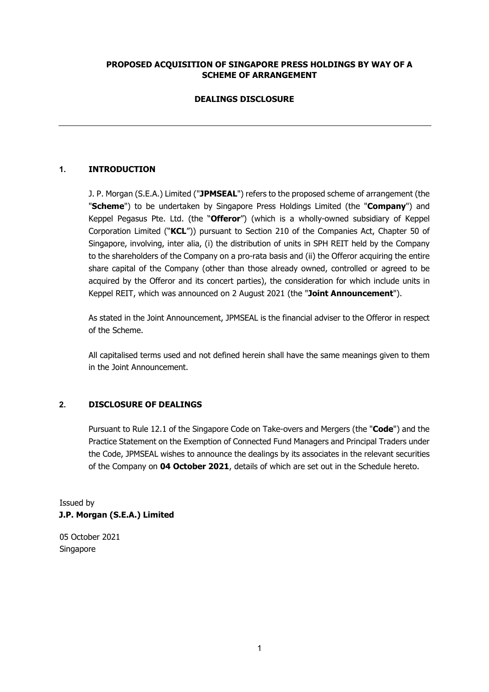# **PROPOSED ACQUISITION OF SINGAPORE PRESS HOLDINGS BY WAY OF A SCHEME OF ARRANGEMENT**

# **DEALINGS DISCLOSURE**

# **1. INTRODUCTION**

J. P. Morgan (S.E.A.) Limited ("**JPMSEAL**") refers to the proposed scheme of arrangement (the "**Scheme**") to be undertaken by Singapore Press Holdings Limited (the "**Company**") and Keppel Pegasus Pte. Ltd. (the "**Offeror**") (which is a wholly-owned subsidiary of Keppel Corporation Limited ("**KCL**")) pursuant to Section 210 of the Companies Act, Chapter 50 of Singapore, involving, inter alia, (i) the distribution of units in SPH REIT held by the Company to the shareholders of the Company on a pro-rata basis and (ii) the Offeror acquiring the entire share capital of the Company (other than those already owned, controlled or agreed to be acquired by the Offeror and its concert parties), the consideration for which include units in Keppel REIT, which was announced on 2 August 2021 (the "**Joint Announcement**").

As stated in the Joint Announcement, JPMSEAL is the financial adviser to the Offeror in respect of the Scheme.

All capitalised terms used and not defined herein shall have the same meanings given to them in the Joint Announcement.

### **2. DISCLOSURE OF DEALINGS**

Pursuant to Rule 12.1 of the Singapore Code on Take-overs and Mergers (the "**Code**") and the Practice Statement on the Exemption of Connected Fund Managers and Principal Traders under the Code, JPMSEAL wishes to announce the dealings by its associates in the relevant securities of the Company on **04 October 2021**, details of which are set out in the Schedule hereto.

Issued by **J.P. Morgan (S.E.A.) Limited** 

05 October 2021 Singapore